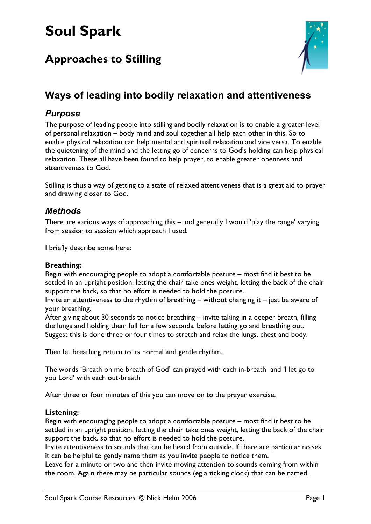# **Soul Spark**

# **Approaches to Stilling**



## **Ways of leading into bodily relaxation and attentiveness**

### *Purpose*

The purpose of leading people into stilling and bodily relaxation is to enable a greater level of personal relaxation – body mind and soul together all help each other in this. So to enable physical relaxation can help mental and spiritual relaxation and vice versa. To enable the quietening of the mind and the letting go of concerns to God's holding can help physical relaxation. These all have been found to help prayer, to enable greater openness and attentiveness to God.

Stilling is thus a way of getting to a state of relaxed attentiveness that is a great aid to prayer and drawing closer to God.

### *Methods*

There are various ways of approaching this – and generally I would 'play the range' varying from session to session which approach I used.

I briefly describe some here:

#### **Breathing:**

Begin with encouraging people to adopt a comfortable posture – most find it best to be settled in an upright position, letting the chair take ones weight, letting the back of the chair support the back, so that no effort is needed to hold the posture.

Invite an attentiveness to the rhythm of breathing – without changing it – just be aware of your breathing.

After giving about 30 seconds to notice breathing – invite taking in a deeper breath, filling the lungs and holding them full for a few seconds, before letting go and breathing out. Suggest this is done three or four times to stretch and relax the lungs, chest and body.

Then let breathing return to its normal and gentle rhythm.

The words 'Breath on me breath of God' can prayed with each in-breath and 'I let go to you Lord' with each out-breath

After three or four minutes of this you can move on to the prayer exercise.

#### **Listening:**

Begin with encouraging people to adopt a comfortable posture – most find it best to be settled in an upright position, letting the chair take ones weight, letting the back of the chair support the back, so that no effort is needed to hold the posture.

Invite attentiveness to sounds that can be heard from outside. If there are particular noises it can be helpful to gently name them as you invite people to notice them.

Leave for a minute or two and then invite moving attention to sounds coming from within the room. Again there may be particular sounds (eg a ticking clock) that can be named.